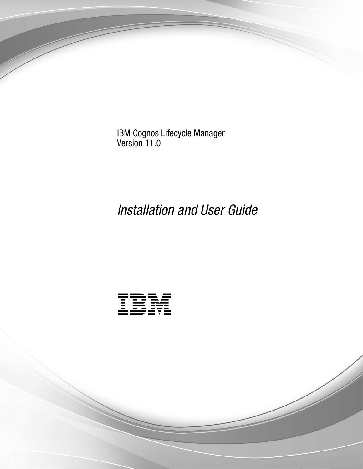IBM Cognos Lifecycle Manager Version 11.0

# *Installation and User Guide*

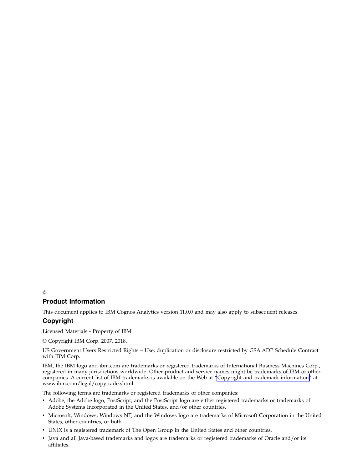**©**

#### **Product Information**

This document applies to IBM Cognos Analytics version 11.0.0 and may also apply to subsequent releases.

#### **Copyright**

Licensed Materials - Property of IBM

© Copyright IBM Corp. 2007, 2018.

US Government Users Restricted Rights – Use, duplication or disclosure restricted by GSA ADP Schedule Contract with IBM Corp.

IBM, the IBM logo and ibm.com are trademarks or registered trademarks of International Business Machines Corp., registered in many jurisdictions worldwide. Other product and service names might be trademarks of IBM or other companies. A current list of IBM trademarks is available on the Web at ["Copyright and trademark information"](http://www.ibm.com/legal/copytrade.shtml) at www.ibm.com/legal/copytrade.shtml.

The following terms are trademarks or registered trademarks of other companies:

- v Adobe, the Adobe logo, PostScript, and the PostScript logo are either registered trademarks or trademarks of Adobe Systems Incorporated in the United States, and/or other countries.
- v Microsoft, Windows, Windows NT, and the Windows logo are trademarks of Microsoft Corporation in the United States, other countries, or both.
- UNIX is a registered trademark of The Open Group in the United States and other countries.
- v Java and all Java-based trademarks and logos are trademarks or registered trademarks of Oracle and/or its affiliates.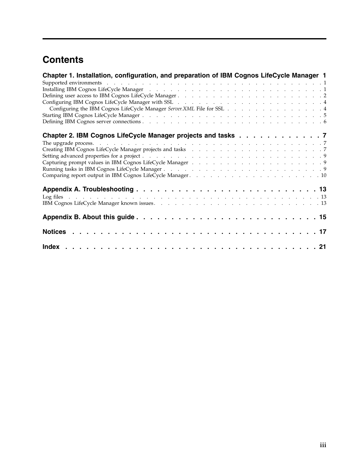# **Contents**

| Chapter 1. Installation, configuration, and preparation of IBM Cognos LifeCycle Manager 1                                                                                                                                      |
|--------------------------------------------------------------------------------------------------------------------------------------------------------------------------------------------------------------------------------|
|                                                                                                                                                                                                                                |
|                                                                                                                                                                                                                                |
|                                                                                                                                                                                                                                |
|                                                                                                                                                                                                                                |
| Configuring the IBM Cognos LifeCycle Manager Server. XML File for SSL 4                                                                                                                                                        |
|                                                                                                                                                                                                                                |
|                                                                                                                                                                                                                                |
|                                                                                                                                                                                                                                |
| Chapter 2. IBM Cognos LifeCycle Manager projects and tasks 7                                                                                                                                                                   |
|                                                                                                                                                                                                                                |
| Creating IBM Cognos LifeCycle Manager projects and tasks and the state of the contract of the contract of the Manager projects and tasks and the contract of the contract of the Cycle Manager projects and tasks and the cont |
|                                                                                                                                                                                                                                |
|                                                                                                                                                                                                                                |
|                                                                                                                                                                                                                                |
|                                                                                                                                                                                                                                |
|                                                                                                                                                                                                                                |
|                                                                                                                                                                                                                                |
|                                                                                                                                                                                                                                |
|                                                                                                                                                                                                                                |
|                                                                                                                                                                                                                                |
|                                                                                                                                                                                                                                |
|                                                                                                                                                                                                                                |
|                                                                                                                                                                                                                                |
|                                                                                                                                                                                                                                |
|                                                                                                                                                                                                                                |
|                                                                                                                                                                                                                                |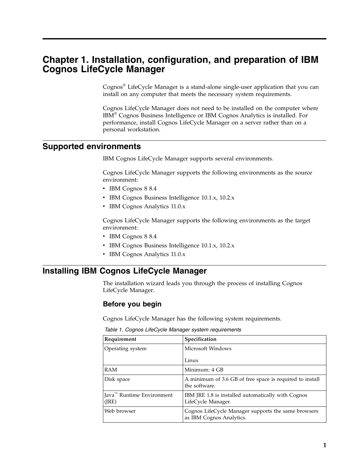# <span id="page-4-0"></span>**Chapter 1. Installation, configuration, and preparation of IBM Cognos LifeCycle Manager**

Cognos® LifeCycle Manager is a stand-alone single-user application that you can install on any computer that meets the necessary system requirements.

Cognos LifeCycle Manager does not need to be installed on the computer where IBM® Cognos Business Intelligence or IBM Cognos Analytics is installed. For performance, install Cognos LifeCycle Manager on a server rather than on a personal workstation.

## **Supported environments**

IBM Cognos LifeCycle Manager supports several environments.

Cognos LifeCycle Manager supports the following environments as the source environment:

- IBM Cognos 8 8.4
- IBM Cognos Business Intelligence 10.1.x, 10.2.x
- IBM Cognos Analytics 11.0.x

Cognos LifeCycle Manager supports the following environments as the target environment:

- IBM Cognos 8 8.4
- IBM Cognos Business Intelligence 10.1.x, 10.2.x
- IBM Cognos Analytics 11.0.x

## **Installing IBM Cognos LifeCycle Manager**

The installation wizard leads you through the process of installing Cognos LifeCycle Manager.

#### **Before you begin**

Cognos LifeCycle Manager has the following system requirements.

|  | Table T. Cognos LifeCycle Manager system requirements |  |
|--|-------------------------------------------------------|--|
|  |                                                       |  |

*Table 1. Cognos LifeCycle Manager system requirements*

| Requirement                                    | Specification                                                                   |
|------------------------------------------------|---------------------------------------------------------------------------------|
| Operating system                               | Microsoft Windows                                                               |
|                                                | Linux                                                                           |
| <b>RAM</b>                                     | Minimum: 4 GB                                                                   |
| Disk space                                     | A minimum of 3.6 GB of free space is required to install<br>the software.       |
| Java <sup>™</sup> Runtime Environment<br>(IRE) | IBM JRE 1.8 is installed automatically with Cognos<br>LifeCycle Manager.        |
| Web browser                                    | Cognos LifeCycle Manager supports the same browsers<br>as IBM Cognos Analytics. |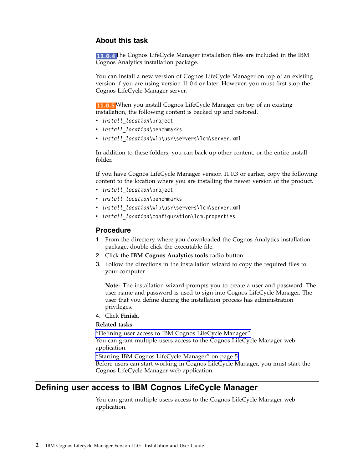### <span id="page-5-0"></span>**About this task**

**11.0.4** The Cognos LifeCycle Manager installation files are included in the IBM Cognos Analytics installation package.

You can install a new version of Cognos LifeCycle Manager on top of an existing version if you are using version 11.0.4 or later. However, you must first stop the Cognos LifeCycle Manager server.

**THER 5** When you install Cognos LifeCycle Manager on top of an existing installation, the following content is backed up and restored.

- *install location*\project
- *install location*\benchmarks
- *install location*\wlp\usr\servers\lcm\server.xml

In addition to these folders, you can back up other content, or the entire install folder.

If you have Cognos LifeCycle Manager version 11.0.3 or earlier, copy the following content to the location where you are installing the newer version of the product.

- *install location*\project
- *install location*\benchmarks
- *install location*\wlp\usr\servers\lcm\server.xml
- *install location*\configuration\lcm.properties

#### **Procedure**

- 1. From the directory where you downloaded the Cognos Analytics installation package, double-click the executable file.
- 2. Click the **IBM Cognos Analytics tools** radio button.
- 3. Follow the directions in the installation wizard to copy the required files to your computer.

**Note:** The installation wizard prompts you to create a user and password. The user name and password is used to sign into Cognos LifeCycle Manager. The user that you define during the installation process has administration privileges.

4. Click **Finish**.

#### **Related tasks**:

"Defining user access to IBM Cognos LifeCycle Manager" You can grant multiple users access to the Cognos LifeCycle Manager web application.

["Starting IBM Cognos LifeCycle Manager" on page 5](#page-8-0) Before users can start working in Cognos LifeCycle Manager, you must start the

Cognos LifeCycle Manager web application.

#### **Defining user access to IBM Cognos LifeCycle Manager**

You can grant multiple users access to the Cognos LifeCycle Manager web application.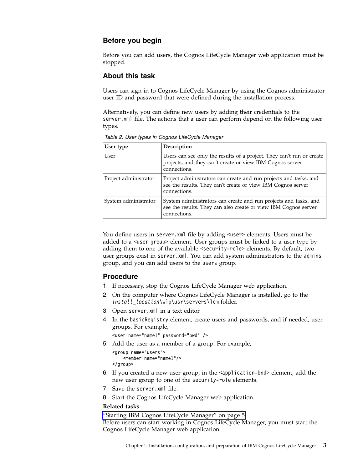## <span id="page-6-0"></span>**Before you begin**

Before you can add users, the Cognos LifeCycle Manager web application must be stopped.

#### **About this task**

Users can sign in to Cognos LifeCycle Manager by using the Cognos administrator user ID and password that were defined during the installation process.

Alternatively, you can define new users by adding their credentials to the server.xml file. The actions that a user can perform depend on the following user types.

| User type             | Description                                                                                                                                         |
|-----------------------|-----------------------------------------------------------------------------------------------------------------------------------------------------|
| User                  | Users can see only the results of a project. They can't run or create<br>projects, and they can't create or view IBM Cognos server<br>connections.  |
| Project administrator | Project administrators can create and run projects and tasks, and<br>see the results. They can't create or view IBM Cognos server<br>connections.   |
| System administrator  | System administrators can create and run projects and tasks, and<br>see the results. They can also create or view IBM Cognos server<br>connections. |

*Table 2. User types in Cognos LifeCycle Manager*

You define users in server.xml file by adding <user> elements. Users must be added to a <user group> element. User groups must be linked to a user type by adding them to one of the available <security-role> elements. By default, two user groups exist in server.xml. You can add system administrators to the admins group, and you can add users to the users group.

#### **Procedure**

- 1. If necessary, stop the Cognos LifeCycle Manager web application.
- 2. On the computer where Cognos LifeCycle Manager is installed, go to the install\_location\wlp\usr\servers\lcm folder.
- 3. Open server.xml in a text editor.
- 4. In the basicRegistry element, create users and passwords, and if needed, user groups. For example,

```
<user name="name1" password="pwd" />
```
5. Add the user as a member of a group. For example,

```
<group name="users">
    <member name="name1"/>
</group>
```
- 6. If you created a new user group, in the <application-bnd> element, add the new user group to one of the security-role elements.
- 7. Save the server.xml file.
- 8. Start the Cognos LifeCycle Manager web application.

#### **Related tasks**:

["Starting IBM Cognos LifeCycle Manager" on page 5](#page-8-0) Before users can start working in Cognos LifeCycle Manager, you must start the Cognos LifeCycle Manager web application.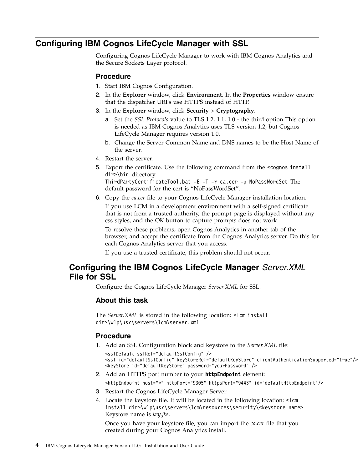## <span id="page-7-0"></span>**Configuring IBM Cognos LifeCycle Manager with SSL**

Configuring Cognos LifeCycle Manager to work with IBM Cognos Analytics and the Secure Sockets Layer protocol.

#### **Procedure**

- 1. Start IBM Cognos Configuration.
- 2. In the **Explorer** window, click **Environment**. In the **Properties** window ensure that the dispatcher URI's use HTTPS instead of HTTP.
- 3. In the **Explorer** window, click **Security** > **Cryptography**.
	- a. Set the *SSL Protocols* value to TLS 1.2, 1.1, 1.0 the third option This option is needed as IBM Cognos Analytics uses TLS version 1.2, but Cognos LifeCycle Manager requires version 1.0.
	- b. Change the Server Common Name and DNS names to be the Host Name of the server.
- 4. Restart the server.
- 5. Export the certificate. Use the following command from the <cognos install dir>\bin directory. ThirdPartyCertificateTool.bat -E -T -r ca.cer -p NoPassWordSet The

default password for the cert is "NoPassWordSet".

6. Copy the *ca.cer* file to your Cognos LifeCycle Manager installation location.

If you use LCM in a development environment with a self-signed certificate that is not from a trusted authority, the prompt page is displayed without any css styles, and the OK button to capture prompts does not work.

To resolve these problems, open Cognos Analytics in another tab of the browser, and accept the certificate from the Cognos Analytics server. Do this for each Cognos Analytics server that you access.

If you use a trusted certificate, this problem should not occur.

## **Configuring the IBM Cognos LifeCycle Manager** *Server.XML* **File for SSL**

Configure the Cognos LifeCycle Manager *Server.XML* for SSL.

#### **About this task**

The *Server.XML* is stored in the following location: <lcm install dir>\wlp\usr\servers\lcm\server.xml

#### **Procedure**

1. Add an SSL Configuration block and keystore to the *Server.XML* file:

```
<sslDefault sslRef="defaultSslConfig" />
<ssl id="defaultSslConfig" keyStoreRef="defaultKeyStore" clientAuthenticationSupported="true"/>
<keyStore id="defaultKeyStore" password="yourPassword" />
```
2. Add an HTTPS port number to your **httpEndpoint** element:

<httpEndpoint host="\*" httpPort="9305" httpsPort="9443" id="defaultHttpEndpoint"/>

- 3. Restart the Cognos LifeCycle Manager Server.
- 4. Locate the keystore file. It will be located in the following location: <lcm install dir>\wlp\usr\servers\lcm\resources\security\<keystore name> Keystore name is *key.jks*.

Once you have your keystore file, you can import the *ca.cer* file that you created during your Cognos Analytics install.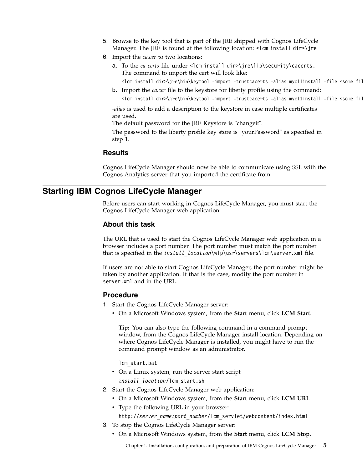- <span id="page-8-0"></span>5. Browse to the key tool that is part of the JRE shipped with Cognos LifeCycle Manager. The JRE is found at the following location: <lcm install dir>\jre
- 6. Import the *ca.cer* to two locations:
	- a. To the *ca certs* file under <lcm install dir>\jre\lib\security\cacerts. The command to import the cert will look like:
		- <lcm install dir>\jre\bin\keytool -import -trustcacerts -alias myc11install -file <some fil
	- b. Import the *ca.cer* file to the keystore for liberty profile using the command: <lcm install dir>\jre\bin\keytool -import -trustcacerts -alias myc11install -file <some fil

*-alias* is used to add a description to the keystore in case multiple certificates are used.

The default password for the JRE Keystore is "changeit".

The password to the liberty profile key store is "yourPassword" as specified in step 1.

#### **Results**

Cognos LifeCycle Manager should now be able to communicate using SSL with the Cognos Analytics server that you imported the certificate from.

## **Starting IBM Cognos LifeCycle Manager**

Before users can start working in Cognos LifeCycle Manager, you must start the Cognos LifeCycle Manager web application.

#### **About this task**

The URL that is used to start the Cognos LifeCycle Manager web application in a browser includes a port number. The port number must match the port number that is specified in the *install\_location*\wlp\usr\servers\lcm\server.xml file.

If users are not able to start Cognos LifeCycle Manager, the port number might be taken by another application. If that is the case, modify the port number in server.xml and in the URL.

#### **Procedure**

- 1. Start the Cognos LifeCycle Manager server:
	- v On a Microsoft Windows system, from the **Start** menu, click **LCM Start**.

**Tip:** You can also type the following command in a command prompt window, from the Cognos LifeCycle Manager install location. Depending on where Cognos LifeCycle Manager is installed, you might have to run the command prompt window as an administrator.

lcm\_start.bat

• On a Linux system, run the server start script

*install\_location*/lcm\_start.sh

- 2. Start the Cognos LifeCycle Manager web application:
- v On a Microsoft Windows system, from the **Start** menu, click **LCM URI**.
	- Type the following URL in your browser:
		- http://*server\_name:port\_number*/lcm\_servlet/webcontent/index.html
- 3. To stop the Cognos LifeCycle Manager server:
	- v On a Microsoft Windows system, from the **Start** menu, click **LCM Stop**.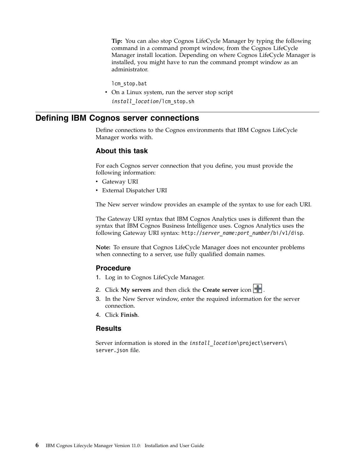<span id="page-9-0"></span>**Tip:** You can also stop Cognos LifeCycle Manager by typing the following command in a command prompt window, from the Cognos LifeCycle Manager install location. Depending on where Cognos LifeCycle Manager is installed, you might have to run the command prompt window as an administrator.

lcm\_stop.bat

• On a Linux system, run the server stop script *install\_location*/lcm\_stop.sh

## **Defining IBM Cognos server connections**

Define connections to the Cognos environments that IBM Cognos LifeCycle Manager works with.

#### **About this task**

For each Cognos server connection that you define, you must provide the following information:

- Gateway URI
- External Dispatcher URI

The New server window provides an example of the syntax to use for each URI.

The Gateway URI syntax that IBM Cognos Analytics uses is different than the syntax that IBM Cognos Business Intelligence uses. Cognos Analytics uses the following Gateway URI syntax: http://*server\_name:port\_number*/bi/v1/disp.

**Note:** To ensure that Cognos LifeCycle Manager does not encounter problems when connecting to a server, use fully qualified domain names.

#### **Procedure**

- 1. Log in to Cognos LifeCycle Manager.
- 2. Click My servers and then click the Create server icon
- 3. In the New Server window, enter the required information for the server connection.
- 4. Click **Finish**.

#### **Results**

Server information is stored in the *install\_location*\project\servers\ server.json file.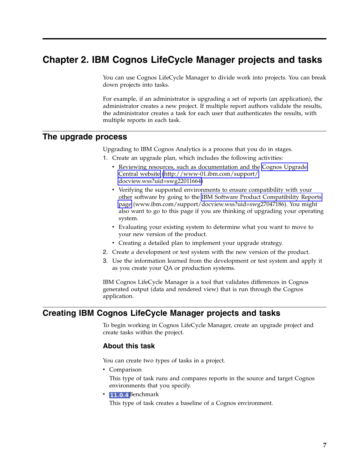# <span id="page-10-0"></span>**Chapter 2. IBM Cognos LifeCycle Manager projects and tasks**

You can use Cognos LifeCycle Manager to divide work into projects. You can break down projects into tasks.

For example, if an administrator is upgrading a set of reports (an application), the administrator creates a new project. If multiple report authors validate the results, the administrator creates a task for each user that authenticates the results, with multiple reports in each task.

## **The upgrade process**

Upgrading to IBM Cognos Analytics is a process that you do in stages.

- 1. Create an upgrade plan, which includes the following activities:
	- Reviewing resources, such as documentation and the [Cognos Upgrade](http://www-01.ibm.com/support/docview.wss?uid=swg22011664) [Central website \(http://www-01.ibm.com/support/](http://www-01.ibm.com/support/docview.wss?uid=swg22011664) [docview.wss?uid=swg22011664\)](http://www-01.ibm.com/support/docview.wss?uid=swg22011664)
	- Verifying the supported environments to ensure compatibility with your other software by going to the [IBM Software Product Compatibility Reports](http://www.ibm.com/support/docview.wss?uid=swg27047186) [page](http://www.ibm.com/support/docview.wss?uid=swg27047186) (www.ibm.com/support/docview.wss?uid=swg27047186). You might also want to go to this page if you are thinking of upgrading your operating system.
	- v Evaluating your existing system to determine what you want to move to your new version of the product.
	- Creating a detailed plan to implement your upgrade strategy.
- 2. Create a development or test system with the new version of the product.
- 3. Use the information learned from the development or test system and apply it as you create your QA or production systems.

IBM Cognos LifeCycle Manager is a tool that validates differences in Cognos generated output (data and rendered view) that is run through the Cognos application.

## **Creating IBM Cognos LifeCycle Manager projects and tasks**

To begin working in Cognos LifeCycle Manager, create an upgrade project and create tasks within the project.

#### **About this task**

You can create two types of tasks in a project.

• Comparison

This type of task runs and compares reports in the source and target Cognos environments that you specify.

11.0.4 Benchmark

This type of task creates a baseline of a Cognos environment.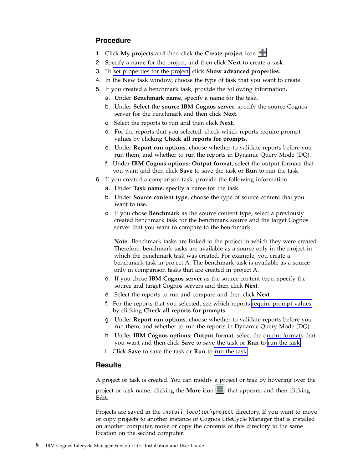#### **Procedure**

- 1. Click **My projects** and then click the **Create project** icon  $\blacksquare$ .
- 2. Specify a name for the project, and then click **Next** to create a task.
- 3. To [set properties for the project,](#page-12-1) click **Show advanced properties**.
- 4. In the New task window, choose the type of task that you want to create.
- 5. If you created a benchmark task, provide the following information.
	- a. Under **Benchmark name**, specify a name for the task.
	- b. Under **Select the source IBM Cognos server**, specify the source Cognos server for the benchmark and then click **Next**.
	- c. Select the reports to run and then click **Next**.
	- d. For the reports that you selected, check which reports require prompt values by clicking **Check all reports for prompts**.
	- e. Under **Report run options**, choose whether to validate reports before you run them, and whether to run the reports in Dynamic Query Mode (DQ).
	- f. Under **IBM Cognos options: Output format**, select the output formats that you want and then click **Save** to save the task or **Run** to run the task.
- 6. If you created a comparison task, provide the following information.
	- a. Under **Task name**, specify a name for the task.
	- b. Under **Source content type**, choose the type of source content that you want to use.
	- c. If you chose **Benchmark** as the source content type, select a previously created benchmark task for the benchmark source and the target Cognos server that you want to compare to the benchmark.

**Note:** Benchmark tasks are linked to the project in which they were created. Therefore, benchmark tasks are available as a source only in the project in which the benchmark task was created. For example, you create a benchmark task in project A. The benchmark task is available as a source only in comparison tasks that are created in project A.

- d. If you chose **IBM Cognos server** as the source content type, specify the source and target Cognos servers and then click **Next**.
- e. Select the reports to run and compare and then click **Next**.
- f. For the reports that you selected, see which reports [require prompt values](#page-12-2) by clicking **Check all reports for prompts**.
- g. Under **Report run options**, choose whether to validate reports before you run them, and whether to run the reports in Dynamic Query Mode (DQ).
- h. Under **IBM Cognos options: Output format**, select the output formats that you want and then click **Save** to save the task or **Run** to [run the task.](#page-12-3)
- i. Click **Save** to save the task or **Run** to [run the task.](#page-12-3)

#### **Results**

A project or task is created. You can modify a project or task by hovering over the project or task name, clicking the **More** icon **that appears**, and then clicking **Edit**.

Projects are saved in the *install\_location*\project directory. If you want to move or copy projects to another instance of Cognos LifeCycle Manager that is installed on another computer, move or copy the contents of this directory to the same location on the second computer.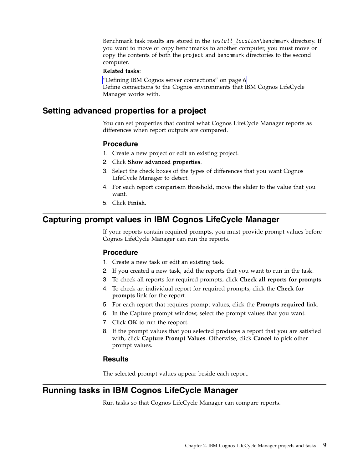<span id="page-12-0"></span>Benchmark task results are stored in the *install\_location*\benchmark directory. If you want to move or copy benchmarks to another computer, you must move or copy the contents of both the project and benchmark directories to the second computer.

#### **Related tasks**:

["Defining IBM Cognos server connections" on page 6](#page-9-0) Define connections to the Cognos environments that IBM Cognos LifeCycle Manager works with.

## **Setting advanced properties for a project**

<span id="page-12-1"></span>You can set properties that control what Cognos LifeCycle Manager reports as differences when report outputs are compared.

#### **Procedure**

- 1. Create a new project or edit an existing project.
- 2. Click **Show advanced properties**.
- 3. Select the check boxes of the types of differences that you want Cognos LifeCycle Manager to detect.
- 4. For each report comparison threshold, move the slider to the value that you want.
- <span id="page-12-2"></span>5. Click **Finish**.

## **Capturing prompt values in IBM Cognos LifeCycle Manager**

If your reports contain required prompts, you must provide prompt values before Cognos LifeCycle Manager can run the reports.

#### **Procedure**

- 1. Create a new task or edit an existing task.
- 2. If you created a new task, add the reports that you want to run in the task.
- 3. To check all reports for required prompts, click **Check all reports for prompts**.
- 4. To check an individual report for required prompts, click the **Check for prompts** link for the report.
- 5. For each report that requires prompt values, click the **Prompts required** link.
- 6. In the Capture prompt window, select the prompt values that you want.
- 7. Click **OK** to run the reoport.
- 8. If the prompt values that you selected produces a report that you are satisfied with, click **Capture Prompt Values**. Otherwise, click **Cancel** to pick other prompt values.

#### **Results**

<span id="page-12-3"></span>The selected prompt values appear beside each report.

## **Running tasks in IBM Cognos LifeCycle Manager**

Run tasks so that Cognos LifeCycle Manager can compare reports.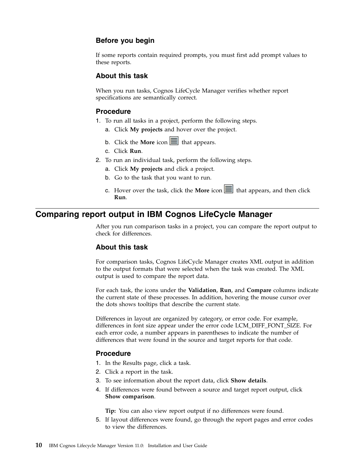### <span id="page-13-0"></span>**Before you begin**

If some reports contain required prompts, you must first add prompt values to these reports.

#### **About this task**

When you run tasks, Cognos LifeCycle Manager verifies whether report specifications are semantically correct.

#### **Procedure**

- 1. To run all tasks in a project, perform the following steps.
	- a. Click **My projects** and hover over the project.
	- b. Click the **More** icon that appears.
	- c. Click **Run**.
- 2. To run an individual task, perform the following steps.
	- a. Click **My projects** and click a project.
	- b. Go to the task that you want to run.
	- c. Hover over the task, click the **More** icon  $\Box$  that appears, and then click **Run**.

## **Comparing report output in IBM Cognos LifeCycle Manager**

After you run comparison tasks in a project, you can compare the report output to check for differences.

#### **About this task**

For comparison tasks, Cognos LifeCycle Manager creates XML output in addition to the output formats that were selected when the task was created. The XML output is used to compare the report data.

For each task, the icons under the **Validation**, **Run**, and **Compare** columns indicate the current state of these processes. In addition, hovering the mouse cursor over the dots shows tooltips that describe the current state.

Differences in layout are organized by category, or error code. For example, differences in font size appear under the error code LCM\_DIFF\_FONT\_SIZE. For each error code, a number appears in parentheses to indicate the number of differences that were found in the source and target reports for that code.

#### **Procedure**

- 1. In the Results page, click a task.
- 2. Click a report in the task.
- 3. To see information about the report data, click **Show details**.
- 4. If differences were found between a source and target report output, click **Show comparison**.

**Tip:** You can also view report output if no differences were found.

5. If layout differences were found, go through the report pages and error codes to view the differences.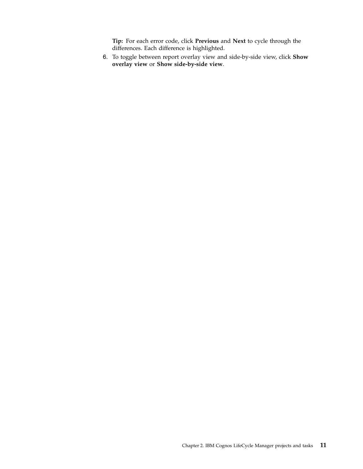**Tip:** For each error code, click **Previous** and **Next** to cycle through the differences. Each difference is highlighted.

6. To toggle between report overlay view and side-by-side view, click **Show overlay view** or **Show side-by-side view**.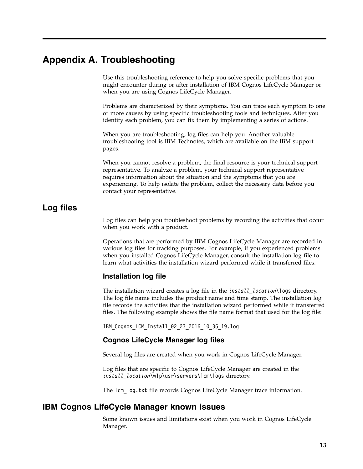# <span id="page-16-0"></span>**Appendix A. Troubleshooting**

Use this troubleshooting reference to help you solve specific problems that you might encounter during or after installation of IBM Cognos LifeCycle Manager or when you are using Cognos LifeCycle Manager.

Problems are characterized by their symptoms. You can trace each symptom to one or more causes by using specific troubleshooting tools and techniques. After you identify each problem, you can fix them by implementing a series of actions.

When you are troubleshooting, log files can help you. Another valuable troubleshooting tool is IBM Technotes, which are available on the IBM support pages.

When you cannot resolve a problem, the final resource is your technical support representative. To analyze a problem, your technical support representative requires information about the situation and the symptoms that you are experiencing. To help isolate the problem, collect the necessary data before you contact your representative.

## **Log files**

Log files can help you troubleshoot problems by recording the activities that occur when you work with a product.

Operations that are performed by IBM Cognos LifeCycle Manager are recorded in various log files for tracking purposes. For example, if you experienced problems when you installed Cognos LifeCycle Manager, consult the installation log file to learn what activities the installation wizard performed while it transferred files.

#### **Installation log file**

The installation wizard creates a log file in the *install\_location*\logs directory. The log file name includes the product name and time stamp. The installation log file records the activities that the installation wizard performed while it transferred files. The following example shows the file name format that used for the log file:

IBM\_Cognos\_LCM\_Install\_02\_23\_2016\_10\_36\_19.log

#### **Cognos LifeCycle Manager log files**

Several log files are created when you work in Cognos LifeCycle Manager.

Log files that are specific to Cognos LifeCycle Manager are created in the *install\_location*\wlp\usr\servers\lcm\logs directory.

The 1cm log.txt file records Cognos LifeCycle Manager trace information.

## **IBM Cognos LifeCycle Manager known issues**

Some known issues and limitations exist when you work in Cognos LifeCycle Manager.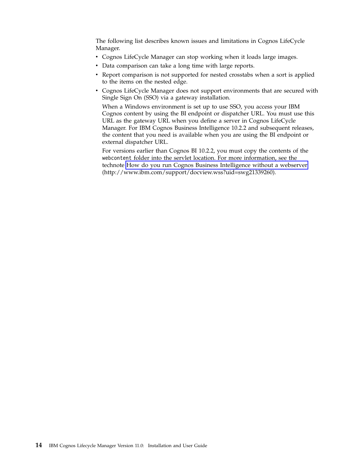<span id="page-17-0"></span>The following list describes known issues and limitations in Cognos LifeCycle Manager.

- Cognos LifeCycle Manager can stop working when it loads large images.
- Data comparison can take a long time with large reports.
- Report comparison is not supported for nested crosstabs when a sort is applied to the items on the nested edge.
- Cognos LifeCycle Manager does not support environments that are secured with Single Sign On (SSO) via a gateway installation.

When a Windows environment is set up to use SSO, you access your IBM Cognos content by using the BI endpoint or dispatcher URL. You must use this URL as the gateway URL when you define a server in Cognos LifeCycle Manager. For IBM Cognos Business Intelligence 10.2.2 and subsequent releases, the content that you need is available when you are using the BI endpoint or external dispatcher URL.

For versions earlier than Cognos BI 10.2.2, you must copy the contents of the webcontent folder into the servlet location. For more information, see the technote [How do you run Cognos Business Intelligence without a webserver](http://www.ibm.com/support/docview.wss?uid=swg21339260) (http://www.ibm.com/support/docview.wss?uid=swg21339260).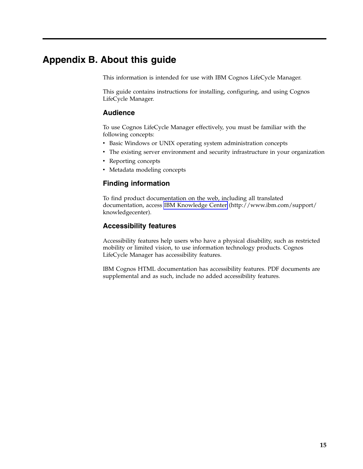# <span id="page-18-0"></span>**Appendix B. About this guide**

This information is intended for use with IBM Cognos LifeCycle Manager.

This guide contains instructions for installing, configuring, and using Cognos LifeCycle Manager.

### **Audience**

To use Cognos LifeCycle Manager effectively, you must be familiar with the following concepts:

- Basic Windows or UNIX operating system administration concepts
- The existing server environment and security infrastructure in your organization
- Reporting concepts
- Metadata modeling concepts

## **Finding information**

To find product documentation on the web, including all translated documentation, access [IBM Knowledge Center](http://www.ibm.com/support/knowledgecenter) (http://www.ibm.com/support/ knowledgecenter).

### **Accessibility features**

Accessibility features help users who have a physical disability, such as restricted mobility or limited vision, to use information technology products. Cognos LifeCycle Manager has accessibility features.

IBM Cognos HTML documentation has accessibility features. PDF documents are supplemental and as such, include no added accessibility features.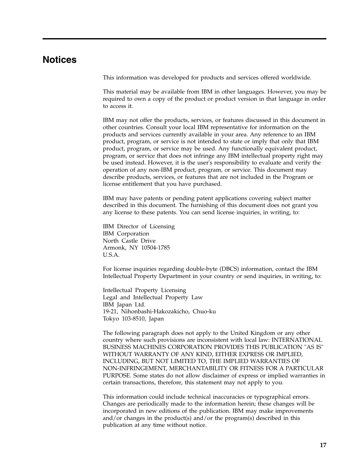# <span id="page-20-0"></span>**Notices**

This information was developed for products and services offered worldwide.

This material may be available from IBM in other languages. However, you may be required to own a copy of the product or product version in that language in order to access it.

IBM may not offer the products, services, or features discussed in this document in other countries. Consult your local IBM representative for information on the products and services currently available in your area. Any reference to an IBM product, program, or service is not intended to state or imply that only that IBM product, program, or service may be used. Any functionally equivalent product, program, or service that does not infringe any IBM intellectual property right may be used instead. However, it is the user's responsibility to evaluate and verify the operation of any non-IBM product, program, or service. This document may describe products, services, or features that are not included in the Program or license entitlement that you have purchased.

IBM may have patents or pending patent applications covering subject matter described in this document. The furnishing of this document does not grant you any license to these patents. You can send license inquiries, in writing, to:

IBM Director of Licensing IBM Corporation North Castle Drive Armonk, NY 10504-1785 U.S.A.

For license inquiries regarding double-byte (DBCS) information, contact the IBM Intellectual Property Department in your country or send inquiries, in writing, to:

Intellectual Property Licensing Legal and Intellectual Property Law IBM Japan Ltd. 19-21, Nihonbashi-Hakozakicho, Chuo-ku Tokyo 103-8510, Japan

The following paragraph does not apply to the United Kingdom or any other country where such provisions are inconsistent with local law: INTERNATIONAL BUSINESS MACHINES CORPORATION PROVIDES THIS PUBLICATION "AS IS" WITHOUT WARRANTY OF ANY KIND, EITHER EXPRESS OR IMPLIED, INCLUDING, BUT NOT LIMITED TO, THE IMPLIED WARRANTIES OF NON-INFRINGEMENT, MERCHANTABILITY OR FITNESS FOR A PARTICULAR PURPOSE. Some states do not allow disclaimer of express or implied warranties in certain transactions, therefore, this statement may not apply to you.

This information could include technical inaccuracies or typographical errors. Changes are periodically made to the information herein; these changes will be incorporated in new editions of the publication. IBM may make improvements and/or changes in the product(s) and/or the program(s) described in this publication at any time without notice.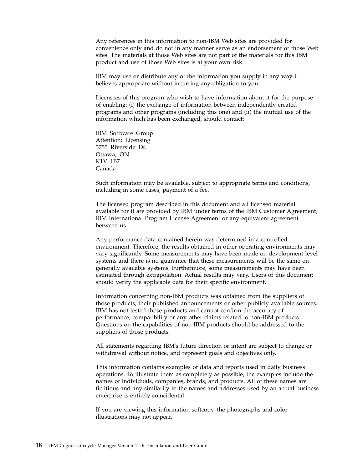Any references in this information to non-IBM Web sites are provided for convenience only and do not in any manner serve as an endorsement of those Web sites. The materials at those Web sites are not part of the materials for this IBM product and use of those Web sites is at your own risk.

IBM may use or distribute any of the information you supply in any way it believes appropriate without incurring any obligation to you.

Licensees of this program who wish to have information about it for the purpose of enabling: (i) the exchange of information between independently created programs and other programs (including this one) and (ii) the mutual use of the information which has been exchanged, should contact:

IBM Software Group Attention: Licensing 3755 Riverside Dr. Ottawa, ON K1V 1B7 Canada

Such information may be available, subject to appropriate terms and conditions, including in some cases, payment of a fee.

The licensed program described in this document and all licensed material available for it are provided by IBM under terms of the IBM Customer Agreement, IBM International Program License Agreement or any equivalent agreement between us.

Any performance data contained herein was determined in a controlled environment. Therefore, the results obtained in other operating environments may vary significantly. Some measurements may have been made on development-level systems and there is no guarantee that these measurements will be the same on generally available systems. Furthermore, some measurements may have been estimated through extrapolation. Actual results may vary. Users of this document should verify the applicable data for their specific environment.

Information concerning non-IBM products was obtained from the suppliers of those products, their published announcements or other publicly available sources. IBM has not tested those products and cannot confirm the accuracy of performance, compatibility or any other claims related to non-IBM products. Questions on the capabilities of non-IBM products should be addressed to the suppliers of those products.

All statements regarding IBM's future direction or intent are subject to change or withdrawal without notice, and represent goals and objectives only.

This information contains examples of data and reports used in daily business operations. To illustrate them as completely as possible, the examples include the names of individuals, companies, brands, and products. All of these names are fictitious and any similarity to the names and addresses used by an actual business enterprise is entirely coincidental.

If you are viewing this information softcopy, the photographs and color illustrations may not appear.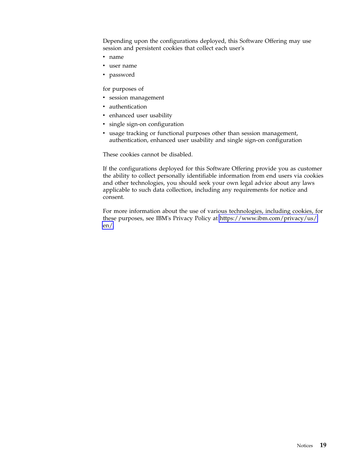Depending upon the configurations deployed, this Software Offering may use session and persistent cookies that collect each user's

- name
- user name
- password

for purposes of

- session management
- authentication
- enhanced user usability
- single sign-on configuration
- usage tracking or functional purposes other than session management, authentication, enhanced user usability and single sign-on configuration

These cookies cannot be disabled.

If the configurations deployed for this Software Offering provide you as customer the ability to collect personally identifiable information from end users via cookies and other technologies, you should seek your own legal advice about any laws applicable to such data collection, including any requirements for notice and consent.

For more information about the use of various technologies, including cookies, for these purposes, see IBM's Privacy Policy at [https://www.ibm.com/privacy/us/](https://www.ibm.com/privacy/us/en/) [en/.](https://www.ibm.com/privacy/us/en/)